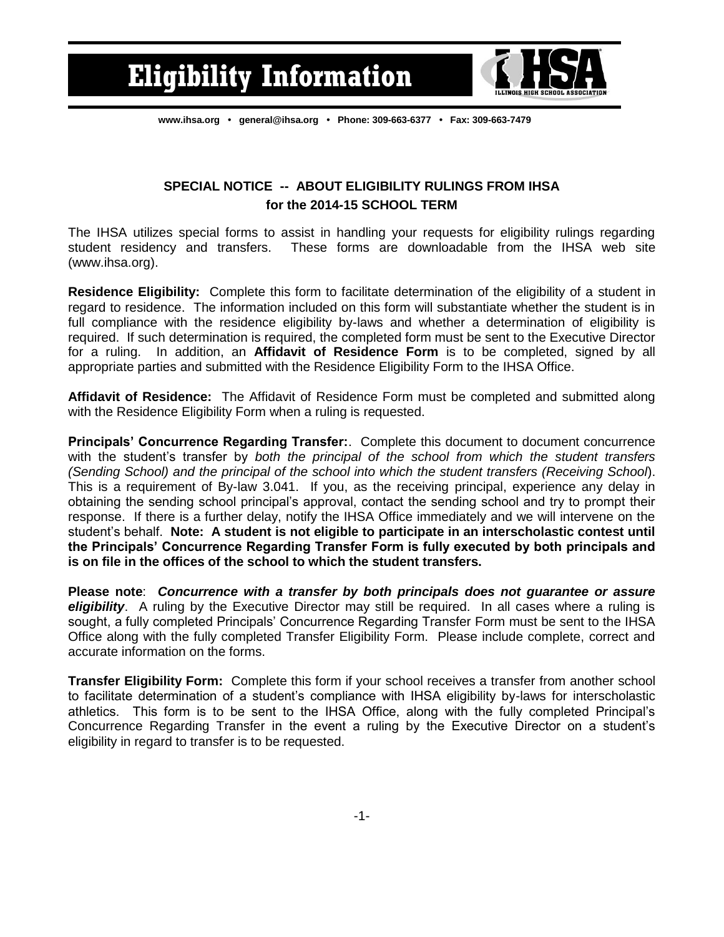

**[www.ihsa.org](http://www.ihsa.org/) • [general@ihsa.org](mailto:general@ihsa.org) • Phone: 309-663-6377 • Fax: 309-663-7479**

## **SPECIAL NOTICE -- ABOUT ELIGIBILITY RULINGS FROM IHSA for the 2014-15 SCHOOL TERM**

The IHSA utilizes special forms to assist in handling your requests for eligibility rulings regarding student residency and transfers. These forms are downloadable from the IHSA web site (www.ihsa.org).

**Residence Eligibility:** Complete this form to facilitate determination of the eligibility of a student in regard to residence. The information included on this form will substantiate whether the student is in full compliance with the residence eligibility by-laws and whether a determination of eligibility is required. If such determination is required, the completed form must be sent to the Executive Director for a ruling. In addition, an **Affidavit of Residence Form** is to be completed, signed by all appropriate parties and submitted with the Residence Eligibility Form to the IHSA Office.

**Affidavit of Residence:** The Affidavit of Residence Form must be completed and submitted along with the Residence Eligibility Form when a ruling is requested.

**Principals' Concurrence Regarding Transfer:**. Complete this document to document concurrence with the student's transfer by *both the principal of the school from which the student transfers (Sending School) and the principal of the school into which the student transfers (Receiving School*). This is a requirement of By-law 3.041. If you, as the receiving principal, experience any delay in obtaining the sending school principal's approval, contact the sending school and try to prompt their response. If there is a further delay, notify the IHSA Office immediately and we will intervene on the student's behalf. **Note: A student is not eligible to participate in an interscholastic contest until the Principals' Concurrence Regarding Transfer Form is fully executed by both principals and is on file in the offices of the school to which the student transfers.**

**Please note**: *Concurrence with a transfer by both principals does not guarantee or assure eligibility*. A ruling by the Executive Director may still be required. In all cases where a ruling is sought, a fully completed Principals' Concurrence Regarding Transfer Form must be sent to the IHSA Office along with the fully completed Transfer Eligibility Form. Please include complete, correct and accurate information on the forms.

**Transfer Eligibility Form:** Complete this form if your school receives a transfer from another school to facilitate determination of a student's compliance with IHSA eligibility by-laws for interscholastic athletics. This form is to be sent to the IHSA Office, along with the fully completed Principal's Concurrence Regarding Transfer in the event a ruling by the Executive Director on a student's eligibility in regard to transfer is to be requested.